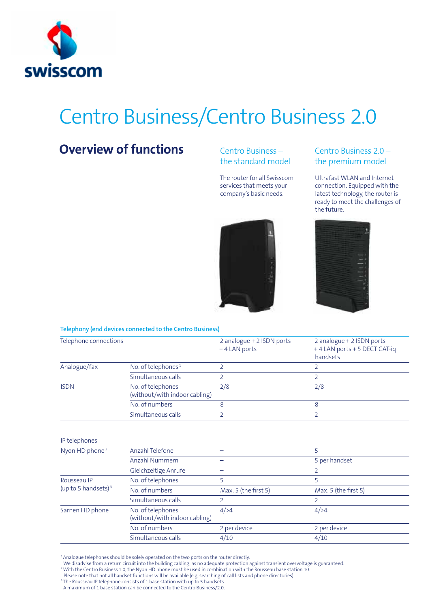

# Centro Business/Centro Business 2.0

## **Overview of functions**

### Centro Business – the standard model

The router for all Swisscom services that meets your company's basic needs.

### Centro Business 2.0 – the premium model

Ultrafast WLAN and Internet connection. Equipped with the latest technology, the router is ready to meet the challenges of the future.





#### **Telephony (end devices connected to the Centro Business)**

| Telephone connections                 |                                                    | 2 analogue + 2 ISDN ports<br>+4 LAN ports | 2 analogue + 2 ISDN ports<br>+4 LAN ports + 5 DECT CAT-iq<br>handsets |
|---------------------------------------|----------------------------------------------------|-------------------------------------------|-----------------------------------------------------------------------|
| Analogue/fax                          | No. of telephones <sup>1</sup>                     | 2                                         | 2                                                                     |
|                                       | Simultaneous calls                                 | 2                                         | 2                                                                     |
| <b>ISDN</b>                           | No. of telephones<br>(without/with indoor cabling) | 2/8                                       | 2/8                                                                   |
|                                       | No. of numbers                                     | 8                                         | 8                                                                     |
|                                       | Simultaneous calls                                 | 2                                         | $\overline{2}$                                                        |
| IP telephones                         |                                                    |                                           |                                                                       |
| Nyon HD phone <sup>2</sup>            | Anzahl Telefone                                    |                                           | 5                                                                     |
|                                       | Anzahl Nummern                                     |                                           | 5 per handset                                                         |
|                                       | Gleichzeitige Anrufe                               |                                           | 2                                                                     |
| Rousseau IP<br>(up to 5 handsets) $3$ | No. of telephones                                  | 5                                         | 5                                                                     |
|                                       | No. of numbers                                     | Max. 5 (the first 5)                      | Max. 5 (the first 5)                                                  |
|                                       | Simultaneous calls                                 | 2                                         | $\overline{2}$                                                        |
| Sarnen HD phone                       | No. of telephones<br>(without/with indoor cabling) | 4/24                                      | 4/24                                                                  |

No. of numbers 2 per device 2 per device Simultaneous calls  $4/10$  4/10

<sup>1</sup> Analogue telephones should be solely operated on the two ports on the router directly.

We disadvise from a return circuit into the building cabling, as no adequate protection against transient overvoltage is guaranteed.

2 With the Centro Business 1.0, the Nyon HD phone must be used in combination with the Rousseau base station 10.

Please note that not all handset functions will be available (e.g. searching of call lists and phone directories).

<sup>3</sup> The Rousseau IP telephone consists of 1 base station with up to 5 handsets.

A maximum of 1 base station can be connected to the Centro Business/2.0.